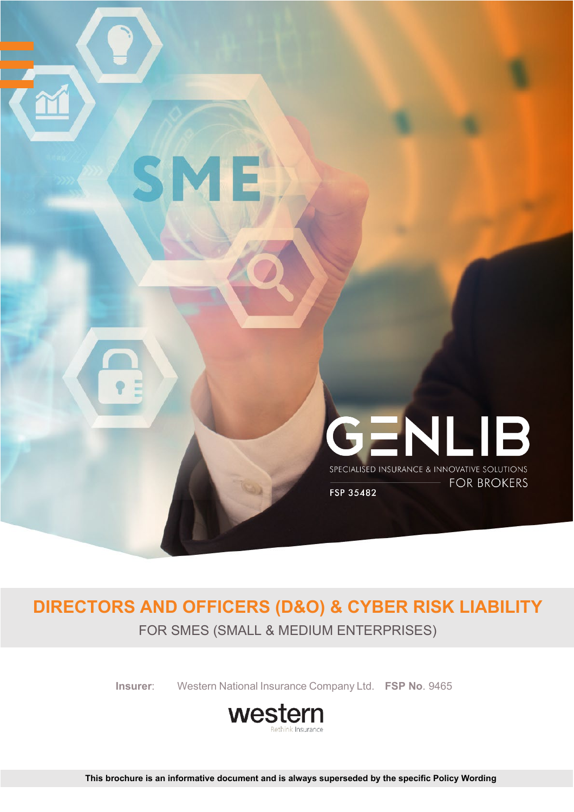

# **DIRECTORS AND OFFICERS (D&O) & CYBER RISK LIABILITY**

FOR SMES (SMALL & MEDIUM ENTERPRISES)

**Insurer**: Western National Insurance Company Ltd. **FSP No**. 9465

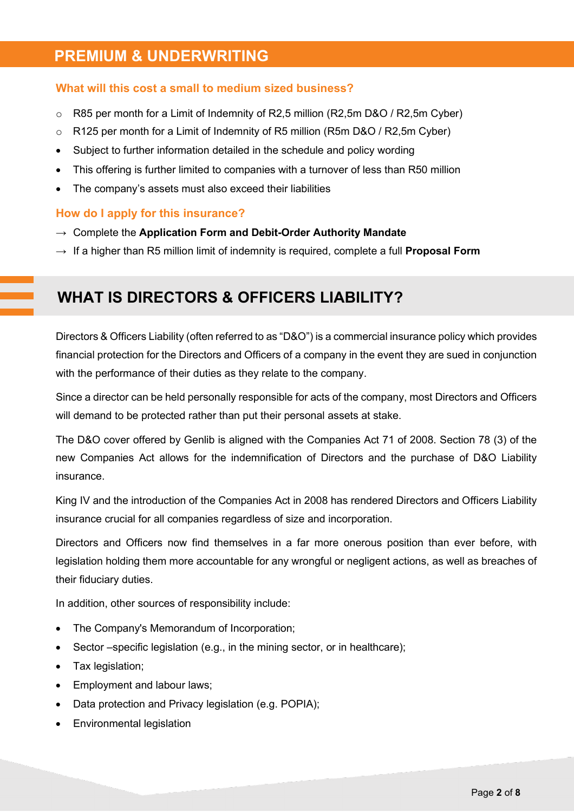### **PREMIUM & UNDERWRITING**

#### **What will this cost a small to medium sized business?**

- $\circ$  R85 per month for a Limit of Indemnity of R2,5 million (R2,5m D&O / R2,5m Cyber)
- o R125 per month for a Limit of Indemnity of R5 million (R5m D&O / R2,5m Cyber)
- Subject to further information detailed in the schedule and policy wording
- This offering is further limited to companies with a turnover of less than R50 million
- The company's assets must also exceed their liabilities

#### **How do I apply for this insurance?**

- → Complete the **Application Form and Debit-Order Authority Mandate**
- $\rightarrow$  If a higher than R5 million limit of indemnity is required, complete a full **Proposal Form**

### **WHAT IS DIRECTORS & OFFICERS LIABILITY?**

Directors & Officers Liability (often referred to as "D&O") is a commercial insurance policy which provides financial protection for the Directors and Officers of a company in the event they are sued in conjunction with the performance of their duties as they relate to the company.

Since a director can be held personally responsible for acts of the company, most Directors and Officers will demand to be protected rather than put their personal assets at stake.

The D&O cover offered by Genlib is aligned with the Companies Act 71 of 2008. Section 78 (3) of the new Companies Act allows for the indemnification of Directors and the purchase of D&O Liability insurance.

King IV and the introduction of the Companies Act in 2008 has rendered Directors and Officers Liability insurance crucial for all companies regardless of size and incorporation.

Directors and Officers now find themselves in a far more onerous position than ever before, with legislation holding them more accountable for any wrongful or negligent actions, as well as breaches of their fiduciary duties.

In addition, other sources of responsibility include:

- The Company's Memorandum of Incorporation;
- Sector –specific legislation (e.g., in the mining sector, or in healthcare);
- Tax legislation;
- Employment and labour laws;
- Data protection and Privacy legislation (e.g. POPIA);
- Environmental legislation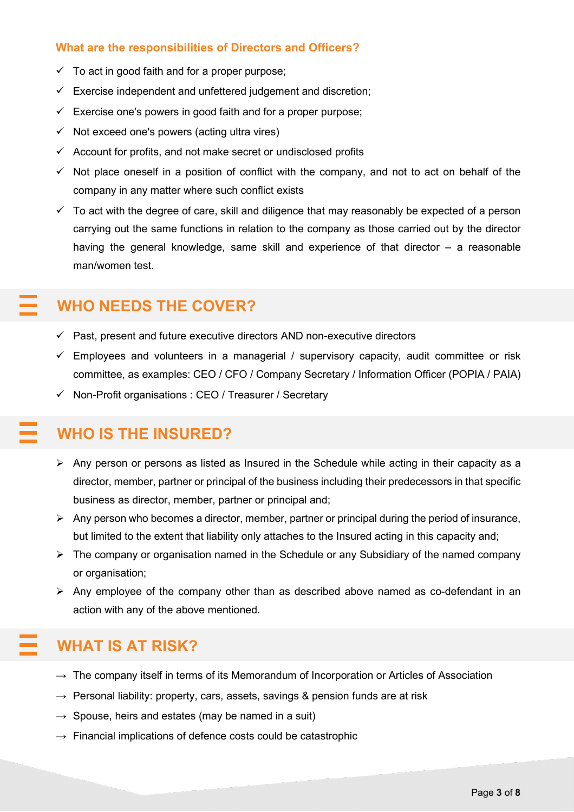#### **What are the responsibilities of Directors and Officers?**

- $\checkmark$  To act in good faith and for a proper purpose;
- $\checkmark$  Exercise independent and unfettered judgement and discretion;
- $\checkmark$  Exercise one's powers in good faith and for a proper purpose;
- $\checkmark$  Not exceed one's powers (acting ultra vires)
- $\checkmark$  Account for profits, and not make secret or undisclosed profits
- $\checkmark$  Not place oneself in a position of conflict with the company, and not to act on behalf of the company in any matter where such conflict exists
- $\checkmark$  To act with the degree of care, skill and diligence that may reasonably be expected of a person carrying out the same functions in relation to the company as those carried out by the director having the general knowledge, same skill and experience of that director – a reasonable man/women test.

### **WHO NEEDS THE COVER?**

- $\checkmark$  Past, present and future executive directors AND non-executive directors
- $\checkmark$  Employees and volunteers in a managerial / supervisory capacity, audit committee or risk committee, as examples: CEO / CFO / Company Secretary / Information Officer (POPIA / PAIA)
- $\checkmark$  Non-Profit organisations : CEO / Treasurer / Secretary

### **WHO IS THE INSURED?**

- $\triangleright$  Any person or persons as listed as Insured in the Schedule while acting in their capacity as a director, member, partner or principal of the business including their predecessors in that specific business as director, member, partner or principal and;
- $\triangleright$  Any person who becomes a director, member, partner or principal during the period of insurance, but limited to the extent that liability only attaches to the Insured acting in this capacity and;
- $\triangleright$  The company or organisation named in the Schedule or any Subsidiary of the named company or organisation;
- $\triangleright$  Any employee of the company other than as described above named as co-defendant in an action with any of the above mentioned.

### **WHAT IS AT RISK?**

- $\rightarrow$  The company itself in terms of its Memorandum of Incorporation or Articles of Association
- $\rightarrow$  Personal liability: property, cars, assets, savings & pension funds are at risk
- $\rightarrow$  Spouse, heirs and estates (may be named in a suit)
- $\rightarrow$  Financial implications of defence costs could be catastrophic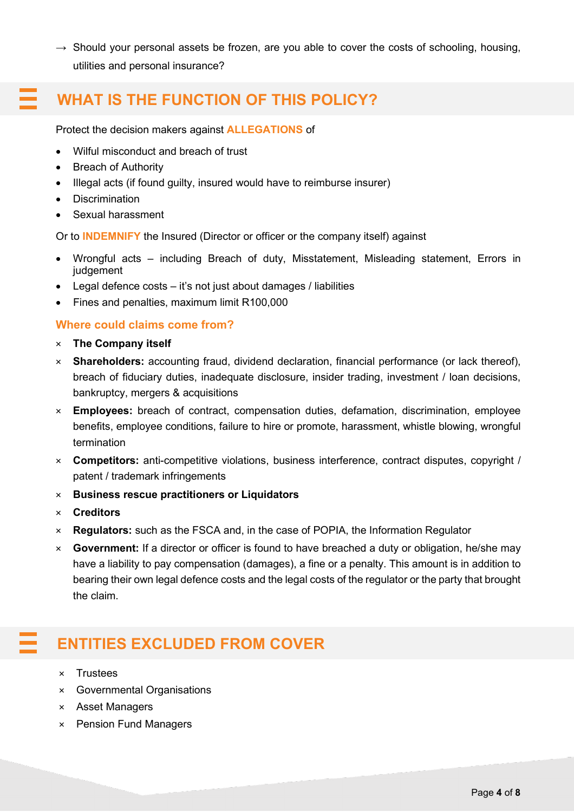$\rightarrow$  Should your personal assets be frozen, are you able to cover the costs of schooling, housing, utilities and personal insurance?

### **WHAT IS THE FUNCTION OF THIS POLICY?**

Protect the decision makers against **ALLEGATIONS** of

- Wilful misconduct and breach of trust
- Breach of Authority
- Illegal acts (if found guilty, insured would have to reimburse insurer)
- Discrimination
- Sexual harassment

Or to **INDEMNIFY** the Insured (Director or officer or the company itself) against

- Wrongful acts including Breach of duty, Misstatement, Misleading statement, Errors in judgement
- Legal defence costs it's not just about damages / liabilities
- Fines and penalties, maximum limit R100,000

### **Where could claims come from?**

- × **The Company itself**
- × **Shareholders:** accounting fraud, dividend declaration, financial performance (or lack thereof), breach of fiduciary duties, inadequate disclosure, insider trading, investment / loan decisions, bankruptcy, mergers & acquisitions
- × **Employees:** breach of contract, compensation duties, defamation, discrimination, employee benefits, employee conditions, failure to hire or promote, harassment, whistle blowing, wrongful termination
- × **Competitors:** anti-competitive violations, business interference, contract disputes, copyright / patent / trademark infringements
- × **Business rescue practitioners or Liquidators**
- × **Creditors**
- × **Regulators:** such as the FSCA and, in the case of POPIA, the Information Regulator
- × **Government:** If a director or officer is found to have breached a duty or obligation, he/she may have a liability to pay compensation (damages), a fine or a penalty. This amount is in addition to bearing their own legal defence costs and the legal costs of the regulator or the party that brought the claim.

## **ENTITIES EXCLUDED FROM COVER**

- × Trustees
- × Governmental Organisations
- × Asset Managers
- × Pension Fund Managers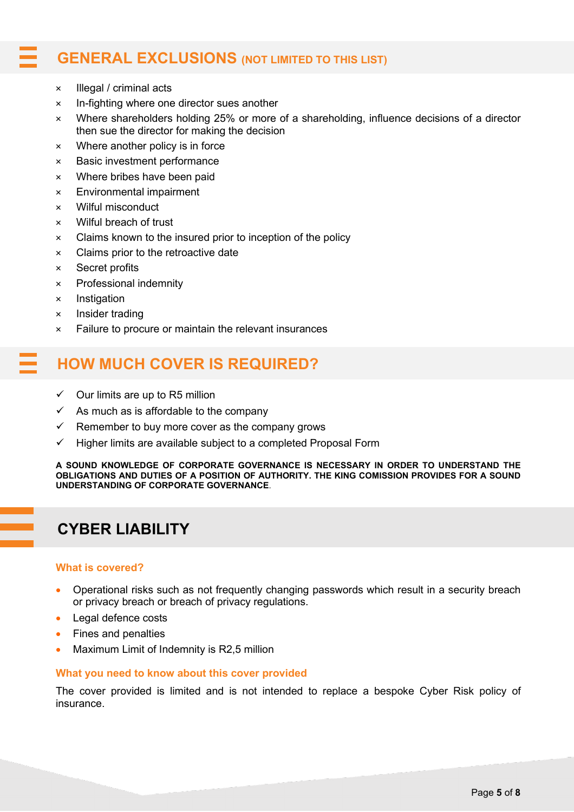### **GENERAL EXCLUSIONS (NOT LIMITED TO THIS LIST)**

- × Illegal / criminal acts
- × In-fighting where one director sues another
- × Where shareholders holding 25% or more of a shareholding, influence decisions of a director then sue the director for making the decision
- × Where another policy is in force
- × Basic investment performance
- × Where bribes have been paid
- × Environmental impairment
- × Wilful misconduct
- × Wilful breach of trust
- × Claims known to the insured prior to inception of the policy
- × Claims prior to the retroactive date
- × Secret profits
- × Professional indemnity
- × Instigation
- × Insider trading
- × Failure to procure or maintain the relevant insurances

### **HOW MUCH COVER IS REQUIRED?**

- $\checkmark$  Our limits are up to R5 million
- $\checkmark$  As much as is affordable to the company
- $\checkmark$  Remember to buy more cover as the company grows
- $\checkmark$  Higher limits are available subject to a completed Proposal Form

**A SOUND KNOWLEDGE OF CORPORATE GOVERNANCE IS NECESSARY IN ORDER TO UNDERSTAND THE OBLIGATIONS AND DUTIES OF A POSITION OF AUTHORITY. THE KING COMISSION PROVIDES FOR A SOUND UNDERSTANDING OF CORPORATE GOVERNANCE**.

### **CYBER LIABILITY**

#### **What is covered?**

- Operational risks such as not frequently changing passwords which result in a security breach or privacy breach or breach of privacy regulations.
- Legal defence costs
- Fines and penalties
- Maximum Limit of Indemnity is R2,5 million

#### **What you need to know about this cover provided**

The cover provided is limited and is not intended to replace a bespoke Cyber Risk policy of insurance.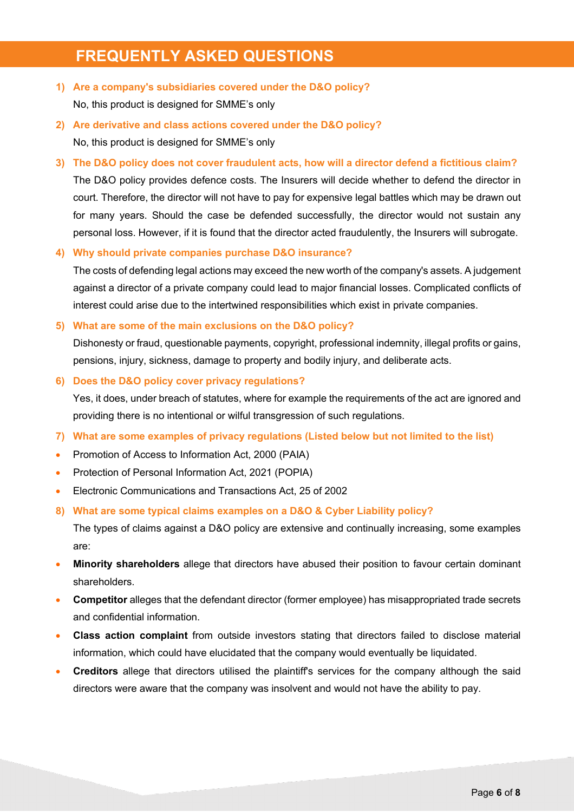### **FREQUENTLY ASKED QUESTIONS**

**1) Are a company's subsidiaries covered under the D&O policy?**

No, this product is designed for SMME's only

- **2) Are derivative and class actions covered under the D&O policy?** No, this product is designed for SMME's only
- **3) The D&O policy does not cover fraudulent acts, how will a director defend a fictitious claim?** The D&O policy provides defence costs. The Insurers will decide whether to defend the director in court. Therefore, the director will not have to pay for expensive legal battles which may be drawn out for many years. Should the case be defended successfully, the director would not sustain any personal loss. However, if it is found that the director acted fraudulently, the Insurers will subrogate.

**4) Why should private companies purchase D&O insurance?**

The costs of defending legal actions may exceed the new worth of the company's assets. A judgement against a director of a private company could lead to major financial losses. Complicated conflicts of interest could arise due to the intertwined responsibilities which exist in private companies.

**5) What are some of the main exclusions on the D&O policy?**

Dishonesty or fraud, questionable payments, copyright, professional indemnity, illegal profits or gains, pensions, injury, sickness, damage to property and bodily injury, and deliberate acts.

**6) Does the D&O policy cover privacy regulations?**

Yes, it does, under breach of statutes, where for example the requirements of the act are ignored and providing there is no intentional or wilful transgression of such regulations.

- **7) What are some examples of privacy regulations (Listed below but not limited to the list)**
- Promotion of Access to Information Act, 2000 (PAIA)
- Protection of Personal Information Act, 2021 (POPIA)
- Electronic Communications and Transactions Act, 25 of 2002
- **8) What are some typical claims examples on a D&O & Cyber Liability policy?**

The types of claims against a D&O policy are extensive and continually increasing, some examples are:

- **Minority shareholders** allege that directors have abused their position to favour certain dominant shareholders.
- **Competitor** alleges that the defendant director (former employee) has misappropriated trade secrets and confidential information.
- **Class action complaint** from outside investors stating that directors failed to disclose material information, which could have elucidated that the company would eventually be liquidated.
- **Creditors** allege that directors utilised the plaintiff's services for the company although the said directors were aware that the company was insolvent and would not have the ability to pay.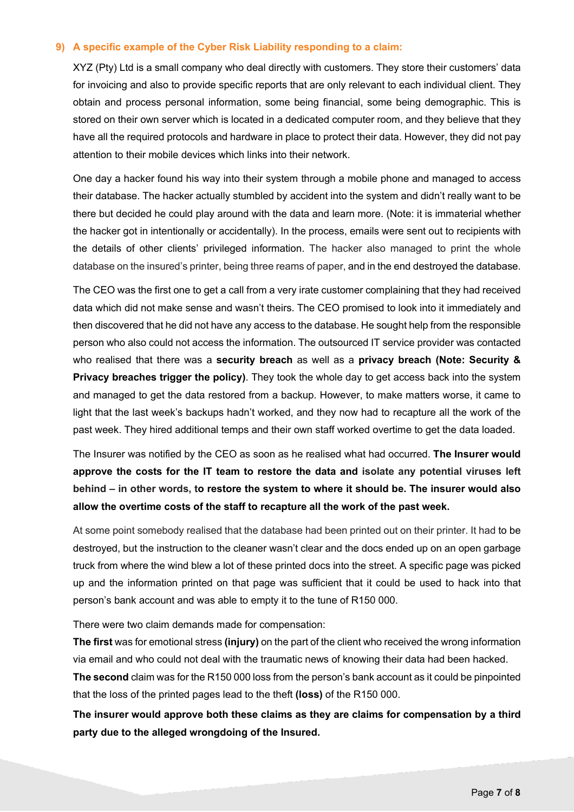#### **9) A specific example of the Cyber Risk Liability responding to a claim:**

XYZ (Pty) Ltd is a small company who deal directly with customers. They store their customers' data for invoicing and also to provide specific reports that are only relevant to each individual client. They obtain and process personal information, some being financial, some being demographic. This is stored on their own server which is located in a dedicated computer room, and they believe that they have all the required protocols and hardware in place to protect their data. However, they did not pay attention to their mobile devices which links into their network.

One day a hacker found his way into their system through a mobile phone and managed to access their database. The hacker actually stumbled by accident into the system and didn't really want to be there but decided he could play around with the data and learn more. (Note: it is immaterial whether the hacker got in intentionally or accidentally). In the process, emails were sent out to recipients with the details of other clients' privileged information. The hacker also managed to print the whole database on the insured's printer, being three reams of paper, and in the end destroyed the database.

The CEO was the first one to get a call from a very irate customer complaining that they had received data which did not make sense and wasn't theirs. The CEO promised to look into it immediately and then discovered that he did not have any access to the database. He sought help from the responsible person who also could not access the information. The outsourced IT service provider was contacted who realised that there was a **security breach** as well as a **privacy breach (Note: Security & Privacy breaches trigger the policy)**. They took the whole day to get access back into the system and managed to get the data restored from a backup. However, to make matters worse, it came to light that the last week's backups hadn't worked, and they now had to recapture all the work of the past week. They hired additional temps and their own staff worked overtime to get the data loaded.

The Insurer was notified by the CEO as soon as he realised what had occurred. **The Insurer would approve the costs for the IT team to restore the data and isolate any potential viruses left behind – in other words, to restore the system to where it should be. The insurer would also allow the overtime costs of the staff to recapture all the work of the past week.**

At some point somebody realised that the database had been printed out on their printer. It had to be destroyed, but the instruction to the cleaner wasn't clear and the docs ended up on an open garbage truck from where the wind blew a lot of these printed docs into the street. A specific page was picked up and the information printed on that page was sufficient that it could be used to hack into that person's bank account and was able to empty it to the tune of R150 000.

There were two claim demands made for compensation:

**The first** was for emotional stress **(injury)** on the part of the client who received the wrong information via email and who could not deal with the traumatic news of knowing their data had been hacked.

**The second** claim was for the R150 000 loss from the person's bank account as it could be pinpointed that the loss of the printed pages lead to the theft **(loss)** of the R150 000.

**The insurer would approve both these claims as they are claims for compensation by a third party due to the alleged wrongdoing of the Insured.**